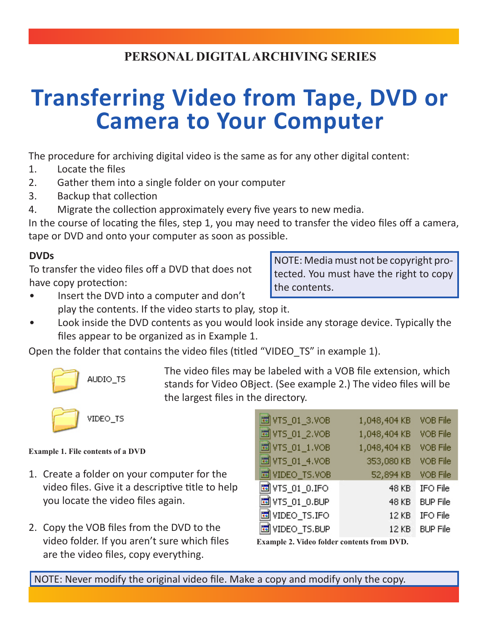# **PERSONAL DIGITAL ARCHIVING SERIES**

# **Transferring Video from Tape, DVD or Camera to Your Computer**

The procedure for archiving digital video is the same as for any other digital content:

- 1. Locate the files
- 2. Gather them into a single folder on your computer
- 3. Backup that collection
- 4. Migrate the collection approximately every five years to new media.

In the course of locating the files, step 1, you may need to transfer the video files off a camera, tape or DVD and onto your computer as soon as possible.

## **DVDs**

To transfer the video files off a DVD that does not have copy protection:

NOTE: Media must not be copyright protected. You must have the right to copy the contents.

- Insert the DVD into a computer and don't play the contents. If the video starts to play, stop it.
- Look inside the DVD contents as you would look inside any storage device. Typically the files appear to be organized as in Example 1.

Open the folder that contains the video files (titled "VIDEO\_TS" in example 1).



The video files may be labeled with a VOB file extension, which stands for Video OBject. (See example 2.) The video files will be the largest files in the directory.



VIDEO\_TS

#### **Example 1. File contents of a DVD**

- 1. Create a folder on your computer for the video files. Give it a descriptive title to help you locate the video files again.
- 2. Copy the VOB files from the DVD to the video folder. If you aren't sure which files are the video files, copy everything.

| 国VTS_01_3.VOB  | 1,048,404 KB | VOB File        |
|----------------|--------------|-----------------|
| 国VTS_01_2.VOB  | 1,048,404 KB | VOB File        |
| 国VTS_01_1.VOB  | 1,048,404 KB | VOB File        |
| 国 VTS_01_4.VOB | 353,080 KB   | VOB File        |
| 国 VIDEO_TS.VOB | 52,894 KB    | VOB File        |
| 国VTS_01_0.IFO  | <b>48 KB</b> | IFO File        |
| 國VTS_01_0.BUP  | 48 KB        | <b>BUP File</b> |
| 圖 VIDEO_TS.IFO | 12 KB        | IFO File        |
| 國WDEO_TS.BUP   | 12 KB        | <b>BUP File</b> |

**Example 2. Video folder contents from DVD.**

NOTE: Never modify the original video file. Make a copy and modify only the copy.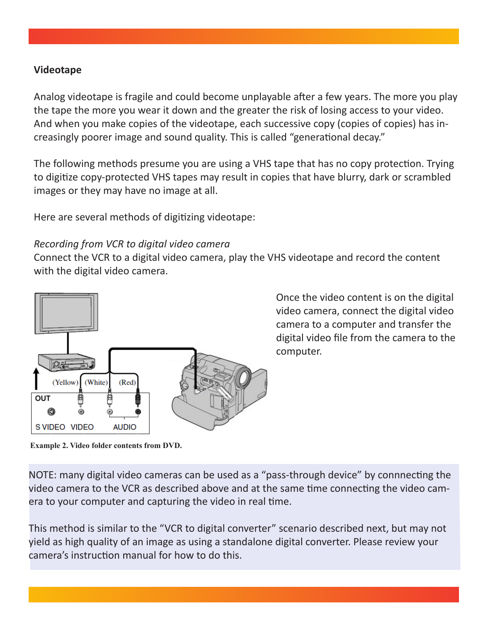#### **Videotape**

Analog videotape is fragile and could become unplayable after a few years. The more you play the tape the more you wear it down and the greater the risk of losing access to your video. And when you make copies of the videotape, each successive copy (copies of copies) has increasingly poorer image and sound quality. This is called "generational decay."

The following methods presume you are using a VHS tape that has no copy protection. Trying to digitize copy-protected VHS tapes may result in copies that have blurry, dark or scrambled images or they may have no image at all.

Here are several methods of digitizing videotape:

#### *Recording from VCR to digital video camera*

Connect the VCR to a digital video camera, play the VHS videotape and record the content with the digital video camera.



Once the video content is on the digital video camera, connect the digital video camera to a computer and transfer the digital video file from the camera to the computer.

**Example 2. Video folder contents from DVD.**

NOTE: many digital video cameras can be used as a "pass-through device" by connnecting the video camera to the VCR as described above and at the same time connecting the video camera to your computer and capturing the video in real time.

This method is similar to the "VCR to digital converter" scenario described next, but may not yield as high quality of an image as using a standalone digital converter. Please review your camera's instruction manual for how to do this.